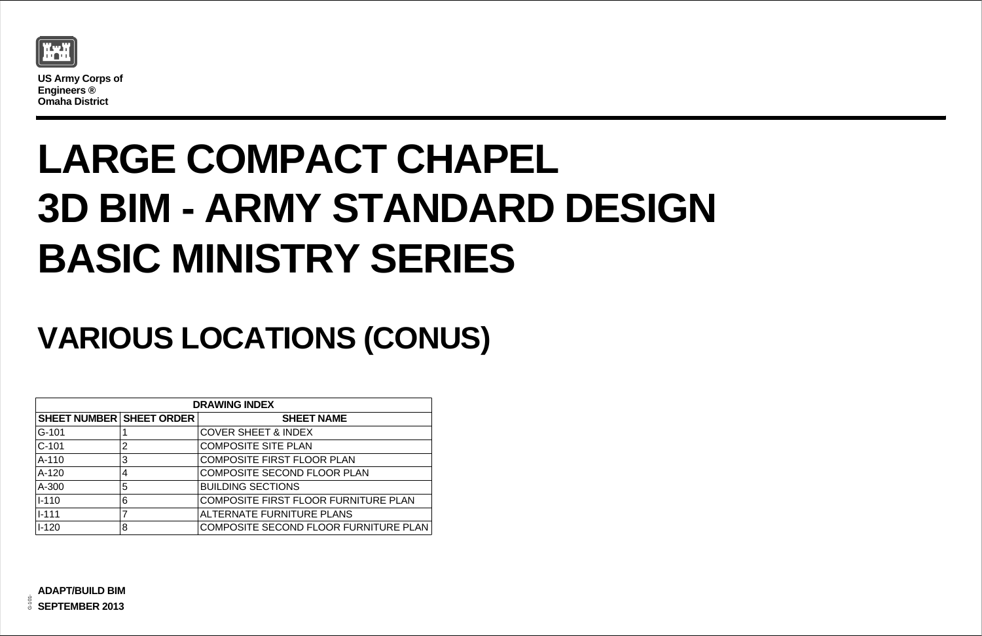

**US Army Corps of Engineers ® Omaha District**

| $\overline{M}$   |
|------------------|
|                  |
| <b>TURE PLAN</b> |
|                  |

RNITURE PLAN

## **VARIOUS LOCATIONS (CONUS)**

## **LARGE COMPACT CHAPEL 3D BIM - ARMY STANDARD DESIGN BASIC MINISTRY SERIES**

| <b>DRAWING INDEX</b>            |                |                                             |  |  |  |  |
|---------------------------------|----------------|---------------------------------------------|--|--|--|--|
| <b>SHEET NUMBER SHEET ORDER</b> |                | <b>SHEET NAME</b>                           |  |  |  |  |
| G-101                           |                | <b>COVER SHEET &amp; INDEX</b>              |  |  |  |  |
| $C-101$                         | $\overline{2}$ | <b>COMPOSITE SITE PLAN</b>                  |  |  |  |  |
| $A-110$                         | 3              | <b>COMPOSITE FIRST FLOOR PLAN</b>           |  |  |  |  |
| $A-120$                         | $\overline{4}$ | <b>COMPOSITE SECOND FLOOR PLAN</b>          |  |  |  |  |
| A-300                           | 5              | <b>BUILDING SECTIONS</b>                    |  |  |  |  |
| $ I - 110 $                     | 6              | <b>COMPOSITE FIRST FLOOR FURNITURE PLAN</b> |  |  |  |  |
| $ I - 111 $                     |                | <b>ALTERNATE FURNITURE PLANS</b>            |  |  |  |  |
| $I - 120$                       | 8              | COMPOSITE SECOND FLOOR FURNITURE PL         |  |  |  |  |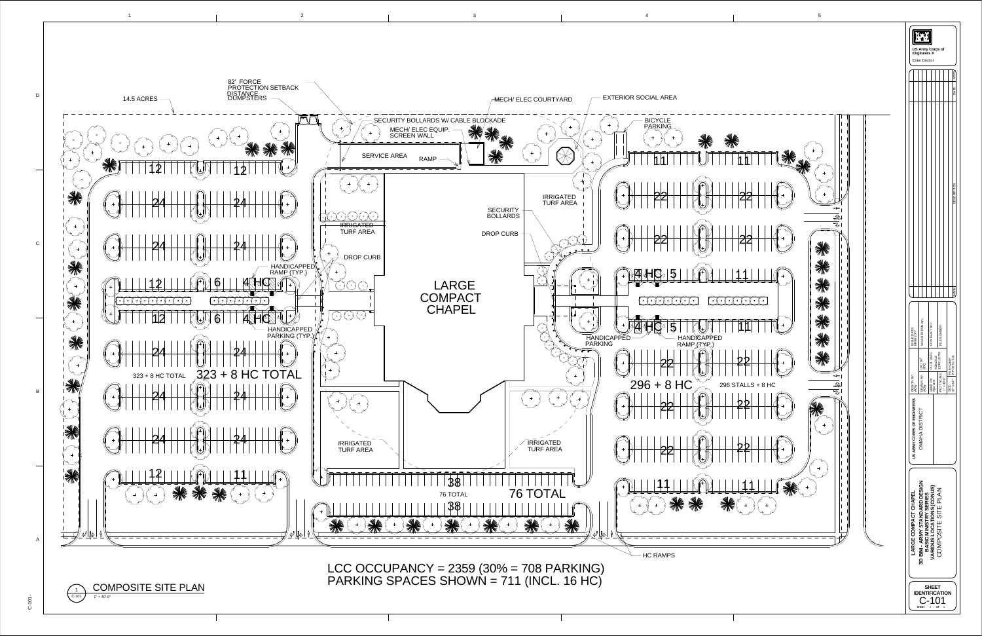

 $\circ$  $\Gamma$  $\circ$  $\mathbf{\Sigma}$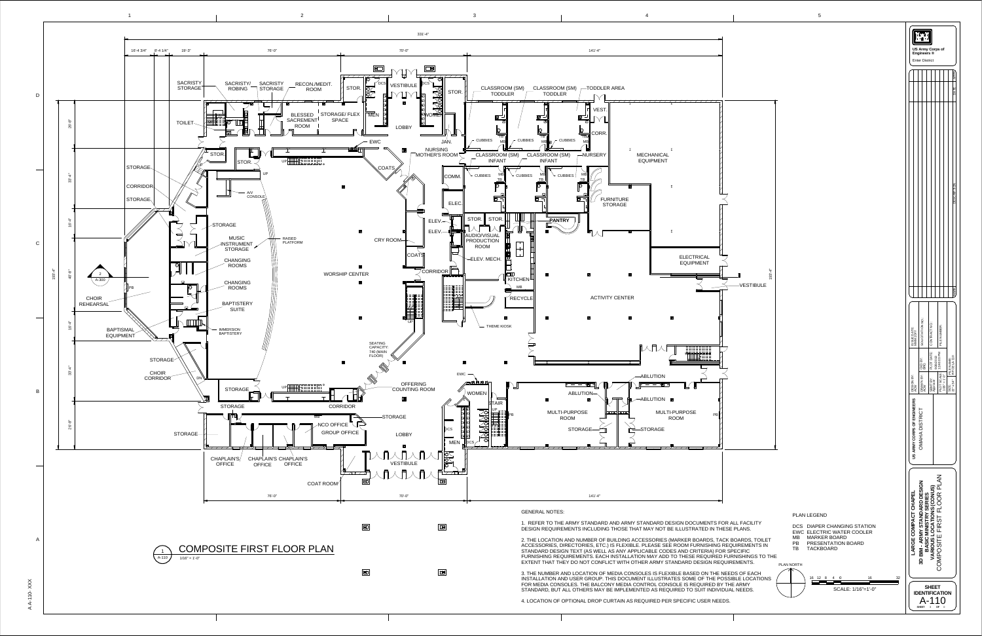AA- $\overline{\phantom{0}}$  $\overline{\phantom{0}}$ 0  $\times$  $\times$  $\times$ 

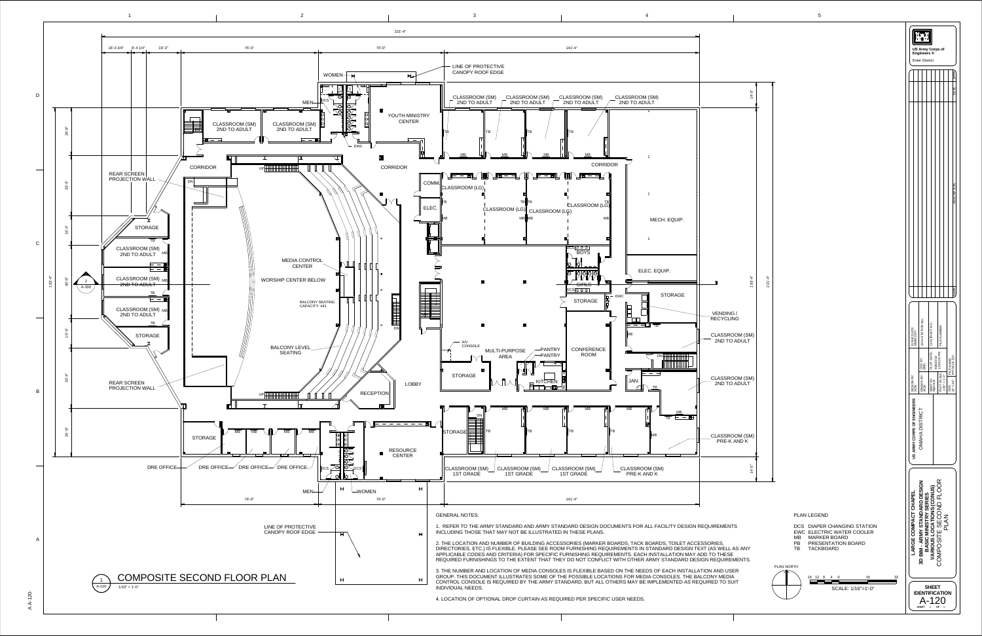



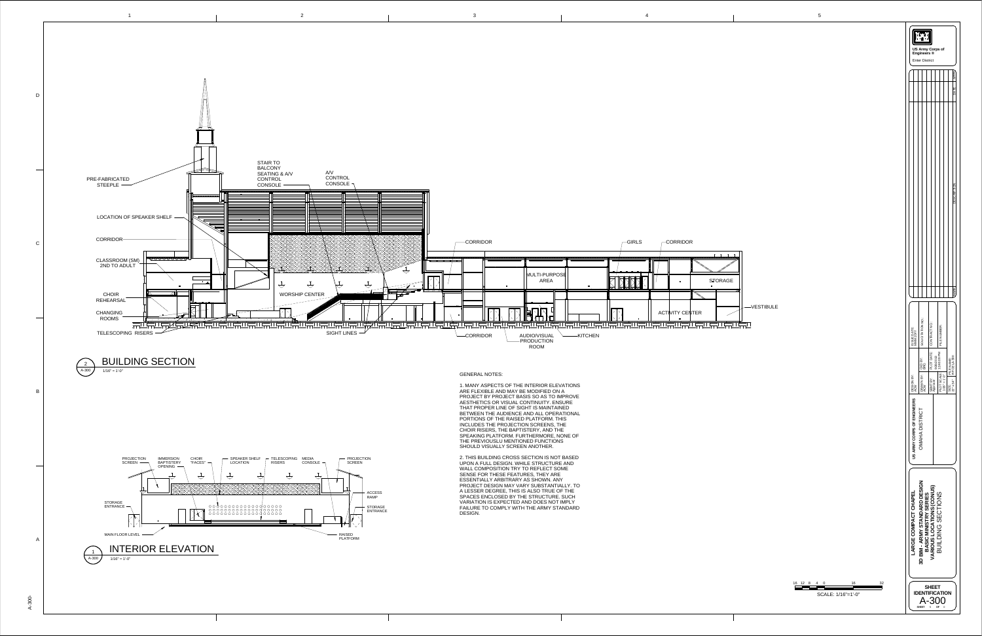





16

12 8 4 0 16 32

SCALE: 1/16"=1'-0"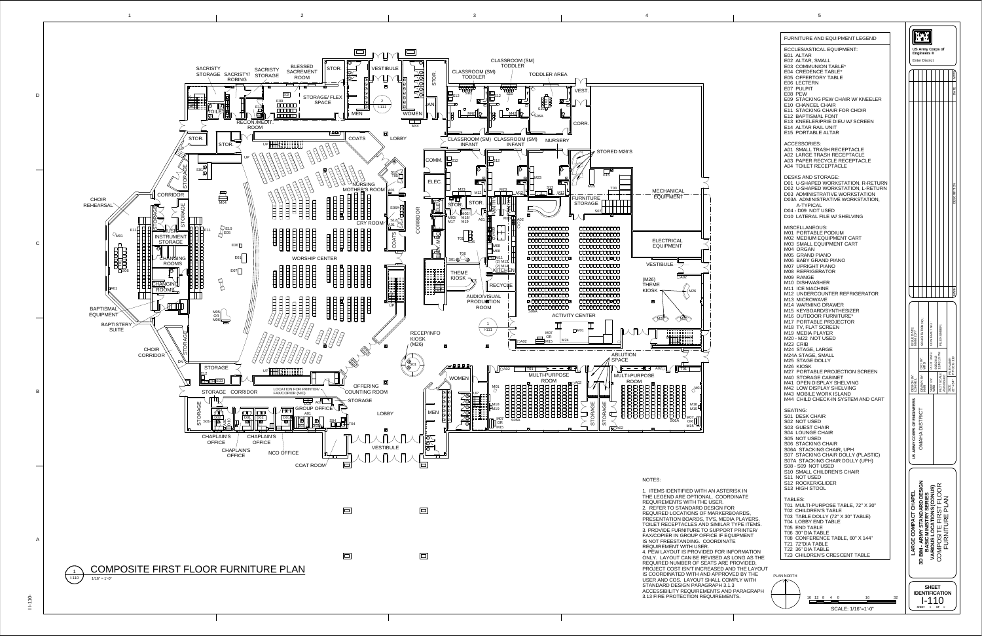







1. ITEMS IDENTIFIED WITH AN ASTERISK INTHE LEGEND ARE OPTIONAL. COORDINATE REQUIREMENTS WITH THE USER. 2. REFER TO STANDARD DESIGN FOR REQUIRED LOCATIONS OF MARKERBOARDS, PRESENTATION BOARDS, TV'S, MEDIA PLAYERS, TOILET RECEPTACLES AND SIMILAR TYPE ITEMS. 3. PROVIDE FURNITURE TO SUPPORT PRINTER/ FAX/COPIER IN GROUP OFFICE IF EQUIPMENT IS NOT FREESTANDING. COORDINATE4. PEW LAYOUT IS PROVIDED FOR INFORMATION ONLY. LAYOUT CAN BE REVISED AS LONG AS THE REQUIRED NUMBER OF SEATS ARE PROVIDED, PROJECT COST ISN'T INCREASED AND THE LAYOUT IS COORDINATED WITH AND APPROVED BY THE USER AND COS. LAYOUT SHALL COMPLY WITHSTANDARD DESIGN PARAGRAPH 3.1.3 ACCESSIBILITY REQUIREMENTS AND PARAGRAPH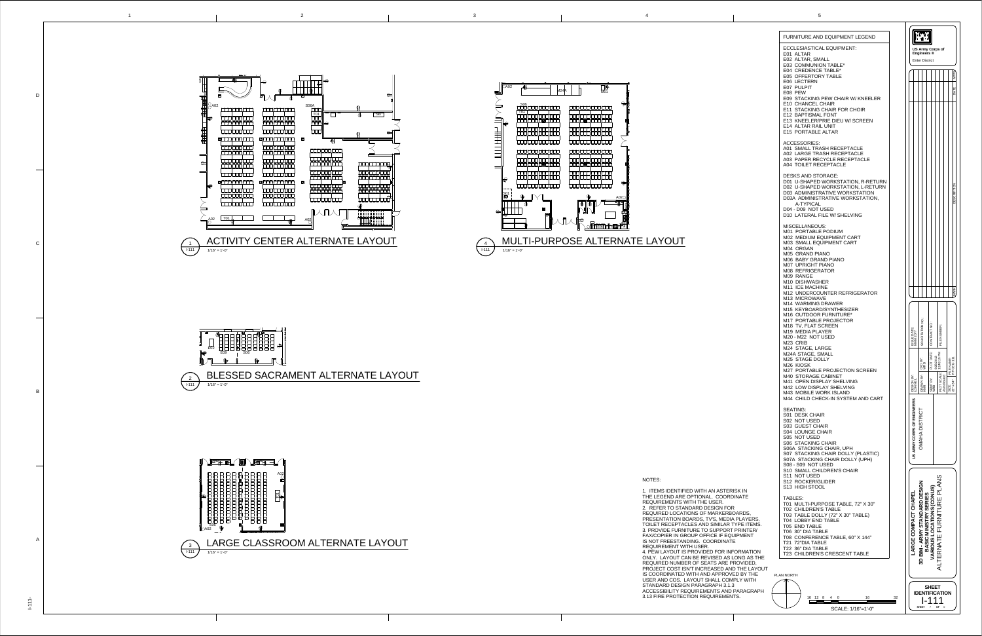1. ITEMS IDENTIFIED WITH AN ASTERISK INTHE LEGEND ARE OPTIONAL. COORDINATE REQUIREMENTS WITH THE USER. 2. REFER TO STANDARD DESIGN FOR REQUIRED LOCATIONS OF MARKERBOARDS, PRESENTATION BOARDS, TV'S, MEDIA PLAYERS, TOILET RECEPTACLES AND SIMILAR TYPE ITEMS. 3. PROVIDE FURNITURE TO SUPPORT PRINTER/ FAX/COPIER IN GROUP OFFICE IF EQUIPMENT IS NOT FREESTANDING. COORDINATEREQUIREMENT WITH USER. 4. PEW LAYOUT IS PROVIDED FOR INFORMATION ONLY. LAYOUT CAN BE REVISED AS LONG AS THE REQUIRED NUMBER OF SEATS ARE PROVIDED, PROJECT COST ISN'T INCREASED AND THE LAYOUT IS COORDINATED WITH AND APPROVED BY THE USER AND COS. LAYOUT SHALL COMPLY WITH STANDARD DESIGN PARAGRAPH 3.1.3 ACCESSIBILITY REQUIREMENTS AND PARAGRAPH3.13 FIRE PROTECTION REQUIREMENTS.